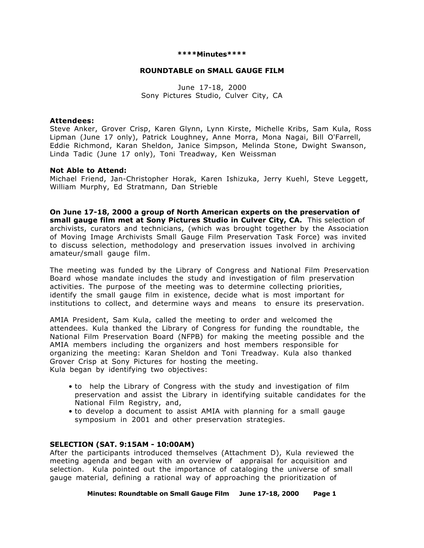#### **\*\*\*\*Minutes\*\*\*\***

#### **ROUNDTABLE on SMALL GAUGE FILM**

June 17-18, 2000 Sony Pictures Studio, Culver City, CA

#### **Attendees:**

Steve Anker, Grover Crisp, Karen Glynn, Lynn Kirste, Michelle Kribs, Sam Kula, Ross Lipman (June 17 only), Patrick Loughney, Anne Morra, Mona Nagai, Bill O'Farrell, Eddie Richmond, Karan Sheldon, Janice Simpson, Melinda Stone, Dwight Swanson, Linda Tadic (June 17 only), Toni Treadway, Ken Weissman

#### **Not Able to Attend:**

Michael Friend, Jan-Christopher Horak, Karen Ishizuka, Jerry Kuehl, Steve Leggett, William Murphy, Ed Stratmann, Dan Strieble

**On June 17-18, 2000 a group of North American experts on the preservation of small gauge film met at Sony Pictures Studio in Culver City, CA.** This selection of archivists, curators and technicians, (which was brought together by the Association of Moving Image Archivists Small Gauge Film Preservation Task Force) was invited to discuss selection, methodology and preservation issues involved in archiving amateur/small gauge film.

The meeting was funded by the Library of Congress and National Film Preservation Board whose mandate includes the study and investigation of film preservation activities. The purpose of the meeting was to determine collecting priorities, identify the small gauge film in existence, decide what is most important for institutions to collect, and determine ways and means to ensure its preservation.

AMIA President, Sam Kula, called the meeting to order and welcomed the attendees. Kula thanked the Library of Congress for funding the roundtable, the National Film Preservation Board (NFPB) for making the meeting possible and the AMIA members including the organizers and host members responsible for organizing the meeting: Karan Sheldon and Toni Treadway. Kula also thanked Grover Crisp at Sony Pictures for hosting the meeting. Kula began by identifying two objectives:

- to help the Library of Congress with the study and investigation of film preservation and assist the Library in identifying suitable candidates for the National Film Registry, and,
- to develop a document to assist AMIA with planning for a small gauge symposium in 2001 and other preservation strategies.

#### **SELECTION (SAT. 9:15AM - 10:00AM)**

After the participants introduced themselves (Attachment D), Kula reviewed the meeting agenda and began with an overview of appraisal for acquisition and selection. Kula pointed out the importance of cataloging the universe of small gauge material, defining a rational way of approaching the prioritization of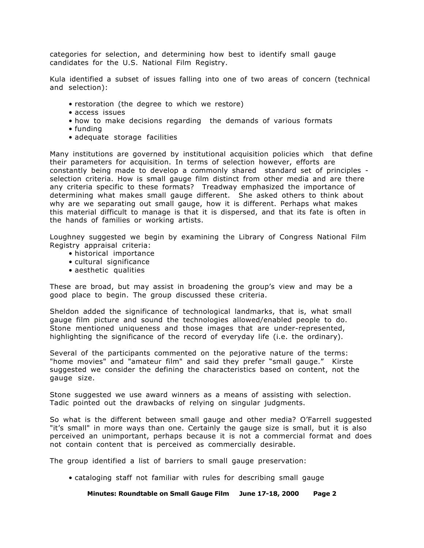categories for selection, and determining how best to identify small gauge candidates for the U.S. National Film Registry.

Kula identified a subset of issues falling into one of two areas of concern (technical and selection):

- restoration (the degree to which we restore)
- access issues
- how to make decisions regarding the demands of various formats
- funding
- adequate storage facilities

Many institutions are governed by institutional acquisition policies which that define their parameters for acquisition. In terms of selection however, efforts are constantly being made to develop a commonly shared standard set of principles selection criteria. How is small gauge film distinct from other media and are there any criteria specific to these formats? Treadway emphasized the importance of determining what makes small gauge different. She asked others to think about why are we separating out small gauge, how it is different. Perhaps what makes this material difficult to manage is that it is dispersed, and that its fate is often in the hands of families or working artists.

Loughney suggested we begin by examining the Library of Congress National Film Registry appraisal criteria:

- historical importance
- cultural significance
- aesthetic qualities

These are broad, but may assist in broadening the group's view and may be a good place to begin. The group discussed these criteria.

Sheldon added the significance of technological landmarks, that is, what small gauge film picture and sound the technologies allowed/enabled people to do. Stone mentioned uniqueness and those images that are under-represented, highlighting the significance of the record of everyday life (i.e. the ordinary).

Several of the participants commented on the pejorative nature of the terms: "home movies" and "amateur film" and said they prefer "small gauge." Kirste suggested we consider the defining the characteristics based on content, not the gauge size.

Stone suggested we use award winners as a means of assisting with selection. Tadic pointed out the drawbacks of relying on singular judgments.

So what is the different between small gauge and other media? O'Farrell suggested "it's small" in more ways than one. Certainly the gauge size is small, but it is also perceived an unimportant, perhaps because it is not a commercial format and does not contain content that is perceived as commercially desirable.

The group identified a list of barriers to small gauge preservation:

• cataloging staff not familiar with rules for describing small gauge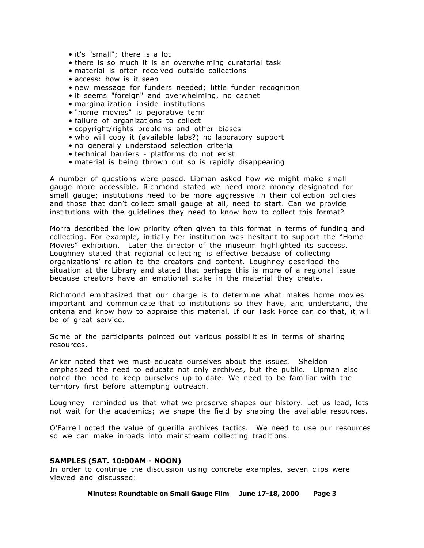- it's "small"; there is a lot
- there is so much it is an overwhelming curatorial task
- material is often received outside collections
- access: how is it seen
- new message for funders needed; little funder recognition
- it seems "foreign" and overwhelming, no cachet
- marginalization inside institutions
- "home movies" is pejorative term
- failure of organizations to collect
- copyright/rights problems and other biases
- who will copy it (available labs?) no laboratory support
- no generally understood selection criteria
- technical barriers platforms do not exist
- material is being thrown out so is rapidly disappearing

A number of questions were posed. Lipman asked how we might make small gauge more accessible. Richmond stated we need more money designated for small gauge; institutions need to be more aggressive in their collection policies and those that don't collect small gauge at all, need to start. Can we provide institutions with the guidelines they need to know how to collect this format?

Morra described the low priority often given to this format in terms of funding and collecting. For example, initially her institution was hesitant to support the "Home Movies" exhibition. Later the director of the museum highlighted its success. Loughney stated that regional collecting is effective because of collecting organizations' relation to the creators and content. Loughney described the situation at the Library and stated that perhaps this is more of a regional issue because creators have an emotional stake in the material they create.

Richmond emphasized that our charge is to determine what makes home movies important and communicate that to institutions so they have, and understand, the criteria and know how to appraise this material. If our Task Force can do that, it will be of great service.

Some of the participants pointed out various possibilities in terms of sharing resources.

Anker noted that we must educate ourselves about the issues. Sheldon emphasized the need to educate not only archives, but the public. Lipman also noted the need to keep ourselves up-to-date. We need to be familiar with the territory first before attempting outreach.

Loughney reminded us that what we preserve shapes our history. Let us lead, lets not wait for the academics; we shape the field by shaping the available resources.

O'Farrell noted the value of guerilla archives tactics. We need to use our resources so we can make inroads into mainstream collecting traditions.

## **SAMPLES (SAT. 10:00AM - NOON)**

In order to continue the discussion using concrete examples, seven clips were viewed and discussed:

**Minutes: Roundtable on Small Gauge Film June 17-18, 2000 Page 3**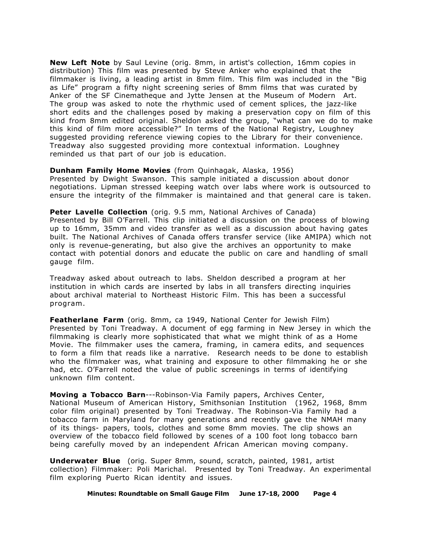**New Left Note** by Saul Levine (orig. 8mm, in artist's collection, 16mm copies in distribution) This film was presented by Steve Anker who explained that the filmmaker is living, a leading artist in 8mm film. This film was included in the "Big as Life" program a fifty night screening series of 8mm films that was curated by Anker of the SF Cinematheque and Jytte Jensen at the Museum of Modern Art. The group was asked to note the rhythmic used of cement splices, the jazz-like short edits and the challenges posed by making a preservation copy on film of this kind from 8mm edited original. Sheldon asked the group, "what can we do to make this kind of film more accessible?" In terms of the National Registry, Loughney suggested providing reference viewing copies to the Library for their convenience. Treadway also suggested providing more contextual information. Loughney reminded us that part of our job is education.

## **Dunham Family Home Movies** (from Quinhagak, Alaska, 1956)

Presented by Dwight Swanson. This sample initiated a discussion about donor negotiations. Lipman stressed keeping watch over labs where work is outsourced to ensure the integrity of the filmmaker is maintained and that general care is taken.

Peter Lavelle Collection (orig. 9.5 mm, National Archives of Canada)

Presented by Bill O'Farrell. This clip initiated a discussion on the process of blowing up to 16mm, 35mm and video transfer as well as a discussion about having gates built. The National Archives of Canada offers transfer service (like AMIPA) which not only is revenue-generating, but also give the archives an opportunity to make contact with potential donors and educate the public on care and handling of small gauge film.

Treadway asked about outreach to labs. Sheldon described a program at her institution in which cards are inserted by labs in all transfers directing inquiries about archival material to Northeast Historic Film. This has been a successful program.

**Featherlane Farm** (orig. 8mm, ca 1949, National Center for Jewish Film) Presented by Toni Treadway. A document of egg farming in New Jersey in which the filmmaking is clearly more sophisticated that what we might think of as a Home Movie. The filmmaker uses the camera, framing, in camera edits, and sequences to form a film that reads like a narrative. Research needs to be done to establish who the filmmaker was, what training and exposure to other filmmaking he or she had, etc. O'Farrell noted the value of public screenings in terms of identifying unknown film content.

**Moving a Tobacco Barn**---Robinson-Via Family papers, Archives Center, National Museum of American History, Smithsonian Institution (1962, 1968, 8mm color film original) presented by Toni Treadway. The Robinson-Via Family had a tobacco farm in Maryland for many generations and recently gave the NMAH many of its things- papers, tools, clothes and some 8mm movies. The clip shows an overview of the tobacco field followed by scenes of a 100 foot long tobacco barn being carefully moved by an independent African American moving company.

**Underwater Blue** (orig. Super 8mm, sound, scratch, painted, 1981, artist collection) Filmmaker: Poli Marichal. Presented by Toni Treadway. An experimental film exploring Puerto Rican identity and issues.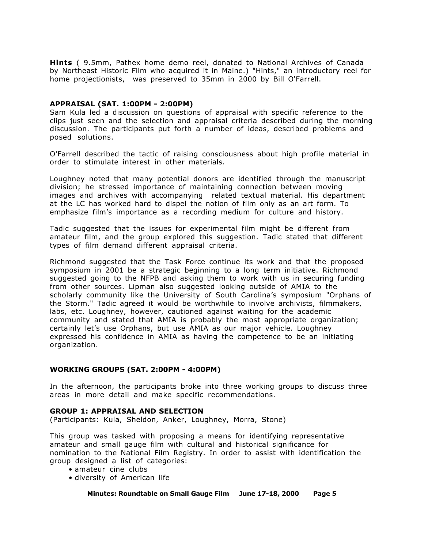**Hints** ( 9.5mm, Pathex home demo reel, donated to National Archives of Canada by Northeast Historic Film who acquired it in Maine.) "Hints," an introductory reel for home projectionists, was preserved to 35mm in 2000 by Bill O'Farrell.

## **APPRAISAL (SAT. 1:00PM - 2:00PM)**

Sam Kula led a discussion on questions of appraisal with specific reference to the clips just seen and the selection and appraisal criteria described during the morning discussion. The participants put forth a number of ideas, described problems and posed solutions.

O'Farrell described the tactic of raising consciousness about high profile material in order to stimulate interest in other materials.

Loughney noted that many potential donors are identified through the manuscript division; he stressed importance of maintaining connection between moving images and archives with accompanying related textual material. His department at the LC has worked hard to dispel the notion of film only as an art form. To emphasize film's importance as a recording medium for culture and history.

Tadic suggested that the issues for experimental film might be different from amateur film, and the group explored this suggestion. Tadic stated that different types of film demand different appraisal criteria.

Richmond suggested that the Task Force continue its work and that the proposed symposium in 2001 be a strategic beginning to a long term initiative. Richmond suggested going to the NFPB and asking them to work with us in securing funding from other sources. Lipman also suggested looking outside of AMIA to the scholarly community like the University of South Carolina's symposium "Orphans of the Storm." Tadic agreed it would be worthwhile to involve archivists, filmmakers, labs, etc. Loughney, however, cautioned against waiting for the academic community and stated that AMIA is probably the most appropriate organization; certainly let's use Orphans, but use AMIA as our major vehicle. Loughney expressed his confidence in AMIA as having the competence to be an initiating organization.

## **WORKING GROUPS (SAT. 2:00PM - 4:00PM)**

In the afternoon, the participants broke into three working groups to discuss three areas in more detail and make specific recommendations.

## **GROUP 1: APPRAISAL AND SELECTION**

(Participants: Kula, Sheldon, Anker, Loughney, Morra, Stone)

This group was tasked with proposing a means for identifying representative amateur and small gauge film with cultural and historical significance for nomination to the National Film Registry. In order to assist with identification the group designed a list of categories:

- amateur cine clubs
- diversity of American life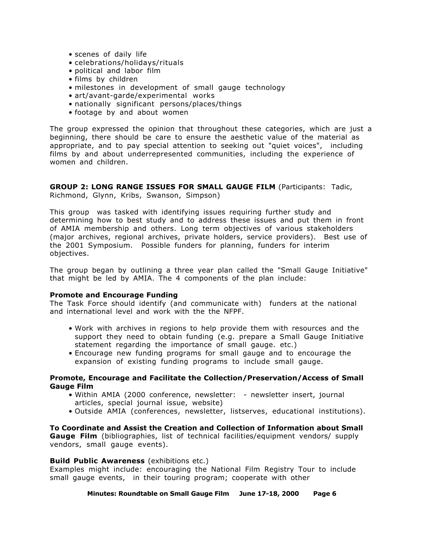- scenes of daily life
- celebrations/holidays/rituals
- political and labor film
- films by children
- milestones in development of small gauge technology
- art/avant-garde/experimental works
- nationally significant persons/places/things
- footage by and about women

The group expressed the opinion that throughout these categories, which are just a beginning, there should be care to ensure the aesthetic value of the material as appropriate, and to pay special attention to seeking out "quiet voices", including films by and about underrepresented communities, including the experience of women and children.

# **GROUP 2: LONG RANGE ISSUES FOR SMALL GAUGE FILM** (Participants: Tadic,

Richmond, Glynn, Kribs, Swanson, Simpson)

This group was tasked with identifying issues requiring further study and determining how to best study and to address these issues and put them in front of AMIA membership and others. Long term objectives of various stakeholders (major archives, regional archives, private holders, service providers). Best use of the 2001 Symposium. Possible funders for planning, funders for interim objectives.

The group began by outlining a three year plan called the "Small Gauge Initiative" that might be led by AMIA. The 4 components of the plan include:

## **Promote and Encourage Funding**

The Task Force should identify (and communicate with) funders at the national and international level and work with the the NFPF.

- Work with archives in regions to help provide them with resources and the support they need to obtain funding (e.g. prepare a Small Gauge Initiative statement regarding the importance of small gauge. etc.)
- Encourage new funding programs for small gauge and to encourage the expansion of existing funding programs to include small gauge.

## **Promote, Encourage and Facilitate the Collection/Preservation/Access of Small Gauge Film**

- Within AMIA (2000 conference, newsletter: newsletter insert, journal articles, special journal issue, website)
- Outside AMIA (conferences, newsletter, listserves, educational institutions).

**To Coordinate and Assist the Creation and Collection of Information about Small Gauge Film** (bibliographies, list of technical facilities/equipment vendors/ supply vendors, small gauge events).

## **Build Public Awareness** (exhibitions etc.)

Examples might include: encouraging the National Film Registry Tour to include small gauge events, in their touring program; cooperate with other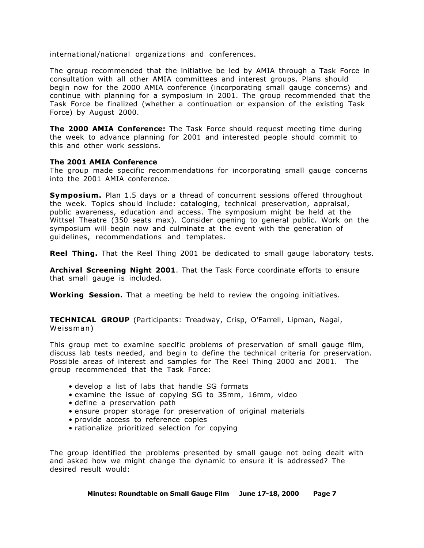international/national organizations and conferences.

The group recommended that the initiative be led by AMIA through a Task Force in consultation with all other AMIA committees and interest groups. Plans should begin now for the 2000 AMIA conference (incorporating small gauge concerns) and continue with planning for a symposium in 2001. The group recommended that the Task Force be finalized (whether a continuation or expansion of the existing Task Force) by August 2000.

**The 2000 AMIA Conference:** The Task Force should request meeting time during the week to advance planning for 2001 and interested people should commit to this and other work sessions.

## **The 2001 AMIA Conference**

The group made specific recommendations for incorporating small gauge concerns into the 2001 AMIA conference.

**Symposium.** Plan 1.5 days or a thread of concurrent sessions offered throughout the week. Topics should include: cataloging, technical preservation, appraisal, public awareness, education and access. The symposium might be held at the Wittsel Theatre (350 seats max). Consider opening to general public. Work on the symposium will begin now and culminate at the event with the generation of guidelines, recommendations and templates.

**Reel Thing.** That the Reel Thing 2001 be dedicated to small gauge laboratory tests.

**Archival Screening Night 2001**. That the Task Force coordinate efforts to ensure that small gauge is included.

**Working Session.** That a meeting be held to review the ongoing initiatives.

**TECHNICAL GROUP** (Participants: Treadway, Crisp, O'Farrell, Lipman, Nagai, Weissman)

This group met to examine specific problems of preservation of small gauge film, discuss lab tests needed, and begin to define the technical criteria for preservation. Possible areas of interest and samples for The Reel Thing 2000 and 2001. The group recommended that the Task Force:

- develop a list of labs that handle SG formats
- examine the issue of copying SG to 35mm, 16mm, video
- define a preservation path
- ensure proper storage for preservation of original materials
- provide access to reference copies
- rationalize prioritized selection for copying

The group identified the problems presented by small gauge not being dealt with and asked how we might change the dynamic to ensure it is addressed? The desired result would:

**Minutes: Roundtable on Small Gauge Film June 17-18, 2000 Page 7**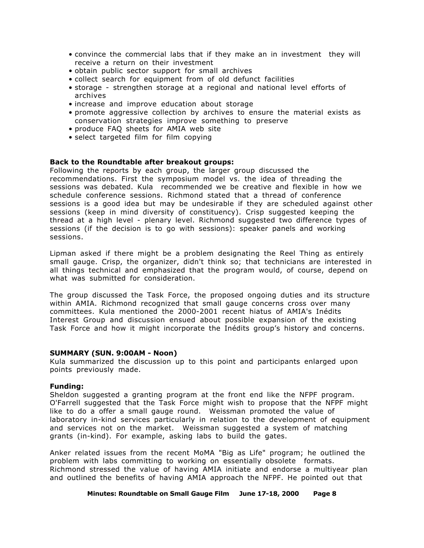- convince the commercial labs that if they make an in investment they will receive a return on their investment
- obtain public sector support for small archives
- collect search for equipment from of old defunct facilities
- storage strengthen storage at a regional and national level efforts of archives
- increase and improve education about storage
- promote aggressive collection by archives to ensure the material exists as conservation strategies improve something to preserve
- produce FAQ sheets for AMIA web site
- select targeted film for film copying

## **Back to the Roundtable after breakout groups:**

Following the reports by each group, the larger group discussed the recommendations. First the symposium model vs. the idea of threading the sessions was debated. Kula recommended we be creative and flexible in how we schedule conference sessions. Richmond stated that a thread of conference sessions is a good idea but may be undesirable if they are scheduled against other sessions (keep in mind diversity of constituency). Crisp suggested keeping the thread at a high level - plenary level. Richmond suggested two difference types of sessions (if the decision is to go with sessions): speaker panels and working sessions.

Lipman asked if there might be a problem designating the Reel Thing as entirely small gauge. Crisp, the organizer, didn't think so; that technicians are interested in all things technical and emphasized that the program would, of course, depend on what was submitted for consideration.

The group discussed the Task Force, the proposed ongoing duties and its structure within AMIA. Richmond recognized that small gauge concerns cross over many committees. Kula mentioned the 2000-2001 recent hiatus of AMIA's Inédits Interest Group and discussion ensued about possible expansion of the existing Task Force and how it might incorporate the Inédits group's history and concerns.

#### **SUMMARY (SUN. 9:00AM - Noon)**

Kula summarized the discussion up to this point and participants enlarged upon points previously made.

#### **Funding:**

Sheldon suggested a granting program at the front end like the NFPF program. O'Farrell suggested that the Task Force might wish to propose that the NFPF might like to do a offer a small gauge round. Weissman promoted the value of laboratory in-kind services particularly in relation to the development of equipment and services not on the market. Weissman suggested a system of matching grants (in-kind). For example, asking labs to build the gates.

Anker related issues from the recent MoMA "Big as Life" program; he outlined the problem with labs committing to working on essentially obsolete formats. Richmond stressed the value of having AMIA initiate and endorse a multiyear plan and outlined the benefits of having AMIA approach the NFPF. He pointed out that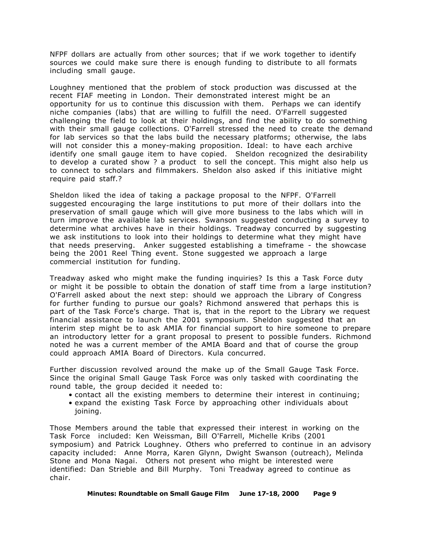NFPF dollars are actually from other sources; that if we work together to identify sources we could make sure there is enough funding to distribute to all formats including small gauge.

Loughney mentioned that the problem of stock production was discussed at the recent FIAF meeting in London. Their demonstrated interest might be an opportunity for us to continue this discussion with them. Perhaps we can identify niche companies (labs) that are willing to fulfill the need. O'Farrell suggested challenging the field to look at their holdings, and find the ability to do something with their small gauge collections. O'Farrell stressed the need to create the demand for lab services so that the labs build the necessary platforms; otherwise, the labs will not consider this a money-making proposition. Ideal: to have each archive identify one small gauge item to have copied. Sheldon recognized the desirability to develop a curated show ? a product to sell the concept. This might also help us to connect to scholars and filmmakers. Sheldon also asked if this initiative might require paid staff.?

Sheldon liked the idea of taking a package proposal to the NFPF. O'Farrell suggested encouraging the large institutions to put more of their dollars into the preservation of small gauge which will give more business to the labs which will in turn improve the available lab services. Swanson suggested conducting a survey to determine what archives have in their holdings. Treadway concurred by suggesting we ask institutions to look into their holdings to determine what they might have that needs preserving. Anker suggested establishing a timeframe - the showcase being the 2001 Reel Thing event. Stone suggested we approach a large commercial institution for funding.

Treadway asked who might make the funding inquiries? Is this a Task Force duty or might it be possible to obtain the donation of staff time from a large institution? O'Farrell asked about the next step: should we approach the Library of Congress for further funding to pursue our goals? Richmond answered that perhaps this is part of the Task Force's charge. That is, that in the report to the Library we request financial assistance to launch the 2001 symposium. Sheldon suggested that an interim step might be to ask AMIA for financial support to hire someone to prepare an introductory letter for a grant proposal to present to possible funders. Richmond noted he was a current member of the AMIA Board and that of course the group could approach AMIA Board of Directors. Kula concurred.

Further discussion revolved around the make up of the Small Gauge Task Force. Since the original Small Gauge Task Force was only tasked with coordinating the round table, the group decided it needed to:

- contact all the existing members to determine their interest in continuing;
- expand the existing Task Force by approaching other individuals about joining.

Those Members around the table that expressed their interest in working on the Task Force included: Ken Weissman, Bill O'Farrell, Michelle Kribs (2001 symposium) and Patrick Loughney. Others who preferred to continue in an advisory capacity included: Anne Morra, Karen Glynn, Dwight Swanson (outreach), Melinda Stone and Mona Nagai. Others not present who might be interested were identified: Dan Strieble and Bill Murphy. Toni Treadway agreed to continue as chair.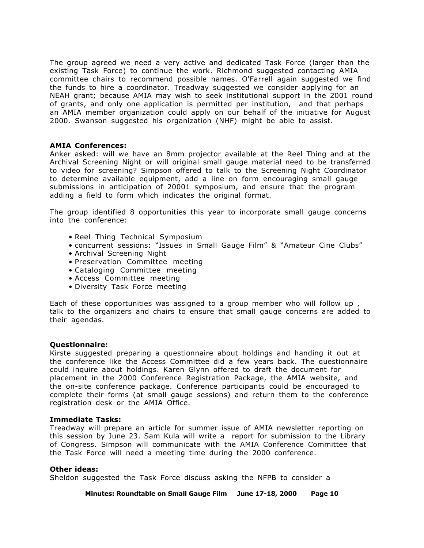The group agreed we need a very active and dedicated Task Force (larger than the existing Task Force) to continue the work. Richmond suggested contacting AMIA committee chairs to recommend possible names. O'Farrell again suggested we find the funds to hire a coordinator. Treadway suggested we consider applying for an NEAH grant; because AMIA may wish to seek institutional support in the 2001 round of grants, and only one application is permitted per institution, and that perhaps an AMIA member organization could apply on our behalf of the initiative for August 2000. Swanson suggested his organization (NHF) might be able to assist.

## **AMIA Conferences:**

Anker asked: will we have an 8mm projector available at the Reel Thing and at the Archival Screening Night or will original small gauge material need to be transferred to video for screening? Simpson offered to talk to the Screening Night Coordinator to determine available equipment, add a line on form encouraging small gauge submissions in anticipation of 20001 symposium, and ensure that the program adding a field to form which indicates the original format.

The group identified 8 opportunities this year to incorporate small gauge concerns into the conference:

- Reel Thing Technical Symposium
- concurrent sessions: "Issues in Small Gauge Film" & "Amateur Cine Clubs"
- Archival Screening Night
- Preservation Committee meeting
- Cataloging Committee meeting
- Access Committee meeting
- Diversity Task Force meeting

Each of these opportunities was assigned to a group member who will follow up , talk to the organizers and chairs to ensure that small gauge concerns are added to their agendas.

## **Questionnaire:**

Kirste suggested preparing a questionnaire about holdings and handing it out at the conference like the Access Committee did a few years back. The questionnaire could inquire about holdings. Karen Glynn offered to draft the document for placement in the 2000 Conference Registration Package, the AMIA website, and the on-site conference package. Conference participants could be encouraged to complete their forms (at small gauge sessions) and return them to the conference registration desk or the AMIA Office.

## **Immediate Tasks:**

Treadway will prepare an article for summer issue of AMIA newsletter reporting on this session by June 23. Sam Kula will write a report for submission to the Library of Congress. Simpson will communicate with the AMIA Conference Committee that the Task Force will need a meeting time during the 2000 conference.

## **Other ideas:**

Sheldon suggested the Task Force discuss asking the NFPB to consider a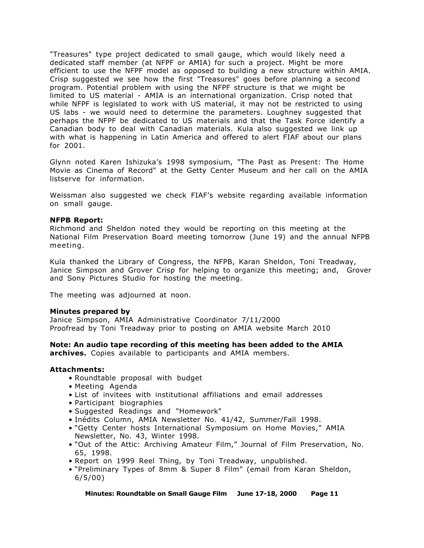"Treasures" type project dedicated to small gauge, which would likely need a dedicated staff member (at NFPF or AMIA) for such a project. Might be more efficient to use the NFPF model as opposed to building a new structure within AMIA. Crisp suggested we see how the first "Treasures" goes before planning a second program. Potential problem with using the NFPF structure is that we might be limited to US material - AMIA is an international organization. Crisp noted that while NFPF is legislated to work with US material, it may not be restricted to using US labs - we would need to determine the parameters. Loughney suggested that perhaps the NFPF be dedicated to US materials and that the Task Force identify a Canadian body to deal with Canadian materials. Kula also suggested we link up with what is happening in Latin America and offered to alert FIAF about our plans for 2001.

Glynn noted Karen Ishizuka's 1998 symposium, "The Past as Present: The Home Movie as Cinema of Record" at the Getty Center Museum and her call on the AMIA listserve for information.

Weissman also suggested we check FIAF's website regarding available information on small gauge.

#### **NFPB Report:**

Richmond and Sheldon noted they would be reporting on this meeting at the National Film Preservation Board meeting tomorrow (June 19) and the annual NFPB meeting.

Kula thanked the Library of Congress, the NFPB, Karan Sheldon, Toni Treadway, Janice Simpson and Grover Crisp for helping to organize this meeting; and, Grover and Sony Pictures Studio for hosting the meeting.

The meeting was adjourned at noon.

#### **Minutes prepared by**

Janice Simpson, AMIA Administrative Coordinator 7/11/2000 Proofread by Toni Treadway prior to posting on AMIA website March 2010

## **Note: An audio tape recording of this meeting has been added to the AMIA**

**archives.** Copies available to participants and AMIA members.

#### **Attachments:**

- Roundtable proposal with budget
- Meeting Agenda
- List of invitees with institutional affiliations and email addresses
- Participant biographies
- Suggested Readings and "Homework"
- Inédits Column, AMIA Newsletter No. 41/42, Summer/Fall 1998.
- "Getty Center hosts International Symposium on Home Movies," AMIA Newsletter, No. 43, Winter 1998.
- "Out of the Attic: Archiving Amateur Film," Journal of Film Preservation, No. 65, 1998.
- Report on 1999 Reel Thing, by Toni Treadway, unpublished.
- "Preliminary Types of 8mm & Super 8 Film" (email from Karan Sheldon, 6/5/00)